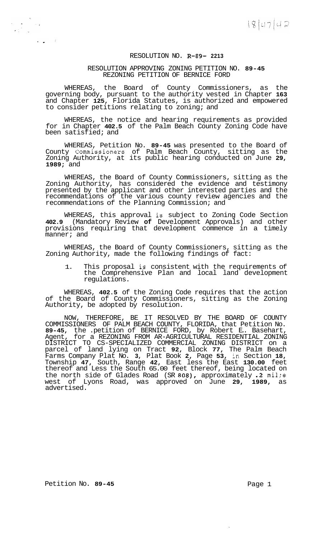## RESOLUTION NO. **R-89- 2213**

## RESOLUTION APPROVING ZONING PETITION NO. **89-45**  REZONING PETITION OF BERNICE FORD

WHEREAS, the Board of County Commissioners, as the governing body, pursuant to the authority vested in Chapter **163**  and Chapter **125,** Florida Statutes, is authorized and empowered to consider petitions relating to zoning; and

WHEREAS, the notice and hearing requirements as provided for in Chapter **402.5** of the Palm Beach County Zoning Code have been satisfied; and

WHEREAS, Petition No. **89-45** was presented to the Board of County Commissioners of Palm Beach County, sitting as the Zoning Authority, at its public hearing conducted on June **29, 1989;** and

WHEREAS, the Board of County Commissioners, sitting as the Zoning Authority, has considered the evidence and testimony presented by the applicant and other interested parties and the recommendations of the various county review agencies and the recommendations of the Planning Commission; and

WHEREAS, this approval is subject to Zoning Code Section **402.9** (Mandatory Review **of** Development Approvals) and other provisions requiring that development commence in a timely manner; and

WHEREAS, the Board of County Commissioners, sitting as the Zoning Authority, made the following findings of fact:

1. This proposal is consistent with the requirements of the Comprehensive Plan and local land development regulations.

WHEREAS, **402.5** of the Zoning Code requires that the action of the Board of County Commissioners, sitting as the Zoning Authority, be adopted by resolution.

NOW, THEREFORE, BE IT RESOLVED BY THE BOARD OF COUNTY COMMISSIONERS OF PALM BEACH COUNTY, FLORIDA, that Petition No. **89-45,** the .petition of BERNICE FORD, by Robert E.. Basehart, Agent, for a REZONING FROM AR-AGRICULTURAL RESIDENTIAL ZONING DISTRICT TO CS-SPECIALIZED COMMERCIAL ZONING DISTRICT on a parcel of land lying on Tract **92,** Block **77,** The Palm Beach Farms Company Plat No. **3,** Plat Book **2,** Page **53,** in Section **18,**  Township **47,** South, Range **42,** East less the East **130.00** feet thereof and Less the South 65.00 feet thereof, being located on the north side of Glades Road (SR **808),** approximately **.2** mil;e west of Lyons Road, was approved on June **29, 1989,** as advertised.

 $\sim 1.3$ 

 $\langle \mathbf{v}_i \rangle$  and